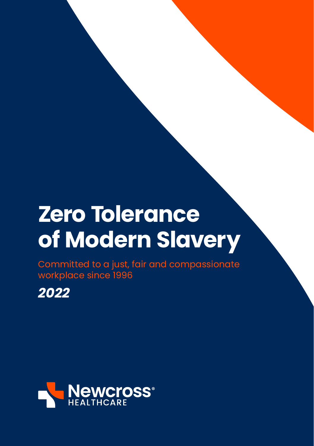# **Zero Tolerance of Modern Slavery**

Committed to a just, fair and compassionate workplace since 1996

*2022*

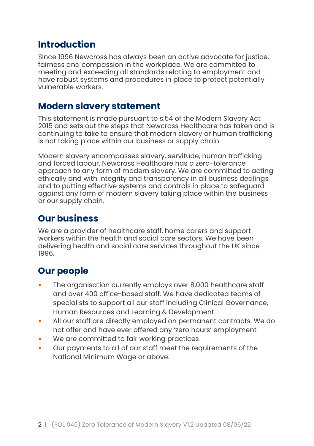#### **Introduction**

Since 1996 Newcross has always been an active advocate for justice, fairness and compassion in the workplace. We are committed to meeting and exceeding all standards relating to employment and have robust systems and procedures in place to protect potentially vulnerable workers.

#### **Modern slavery statement**

This statement is made pursuant to s.54 of the Modern Slavery Act 2015 and sets out the steps that Newcross Healthcare has taken and is continuing to take to ensure that modern slavery or human trafficking is not taking place within our business or supply chain.

Modern slavery encompasses slavery, servitude, human trafficking and forced labour. Newcross Healthcare has a zero-tolerance approach to any form of modern slavery. We are committed to acting ethically and with integrity and transparency in all business dealings and to putting effective systems and controls in place to safeguard against any form of modern slavery taking place within the business or our supply chain.

## **Our business**

We are a provider of healthcare staff, home carers and support workers within the health and social care sectors. We have been delivering health and social care services throughout the UK since 1996.

## **Our people**

- The organisation currently employs over 8,000 healthcare staff and over 400 office-based staff. We have dedicated teams of specialists to support all our staff including Clinical Governance, Human Resources and Learning & Development
- All our staff are directly employed on permanent contracts. We do not offer and have ever offered any 'zero hours' employment
- We are committed to fair working practices
- Our payments to all of our staff meet the requirements of the National Minimum Wage or above.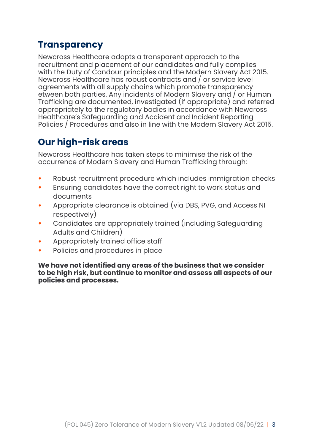## **Transparency**

Newcross Healthcare adopts a transparent approach to the recruitment and placement of our candidates and fully complies with the Duty of Candour principles and the Modern Slavery Act 2015. Newcross Healthcare has robust contracts and / or service level agreements with all supply chains which promote transparency etween both parties. Any incidents of Modern Slavery and / or Human Trafficking are documented, investigated (if appropriate) and referred appropriately to the regulatory bodies in accordance with Newcross Healthcare's Safeguarding and Accident and Incident Reporting Policies / Procedures and also in line with the Modern Slavery Act 2015.

## **Our high-risk areas**

Newcross Healthcare has taken steps to minimise the risk of the occurrence of Modern Slavery and Human Trafficking through:

- Robust recruitment procedure which includes immigration checks<br>• Ensuring candidates have the correct right to work status and
- Ensuring candidates have the correct right to work status and documents
- Appropriate clearance is obtained (via DBS, PVG, and Access NI respectively)
- Candidates are appropriately trained (including Safeguarding Adults and Children)
- Appropriately trained office staff
- Policies and procedures in place

**We have not identified any areas of the business that we consider to be high risk, but continue to monitor and assess all aspects of our policies and processes.**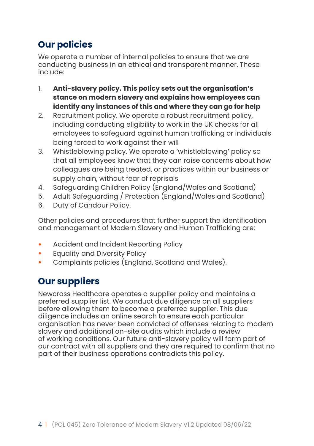# **Our policies**

We operate a number of internal policies to ensure that we are conducting business in an ethical and transparent manner. These include:

- 1. **Anti-slavery policy. This policy sets out the organisation's stance on modern slavery and explains how employees can identify any instances of this and where they can go for help**
- 2. Recruitment policy. We operate a robust recruitment policy, including conducting eligibility to work in the UK checks for all employees to safeguard against human trafficking or individuals being forced to work against their will
- 3. Whistleblowing policy. We operate a 'whistleblowing' policy so that all employees know that they can raise concerns about how colleagues are being treated, or practices within our business or supply chain, without fear of reprisals
- 4. Safeguarding Children Policy (England/Wales and Scotland)
- 5. Adult Safeguarding / Protection (England/Wales and Scotland)
- 6. Duty of Candour Policy.

Other policies and procedures that further support the identification and management of Modern Slavery and Human Trafficking are:

- Accident and Incident Reporting Policy<br>• Equality and Diversity Policy
- Equality and Diversity Policy
- Complaints policies (England, Scotland and Wales).

# **Our suppliers**

Newcross Healthcare operates a supplier policy and maintains a preferred supplier list. We conduct due diligence on all suppliers before allowing them to become a preferred supplier. This due diligence includes an online search to ensure each particular organisation has never been convicted of offenses relating to modern slavery and additional on-site audits which include a review of working conditions. Our future anti-slavery policy will form part of our contract with all suppliers and they are required to confirm that no part of their business operations contradicts this policy.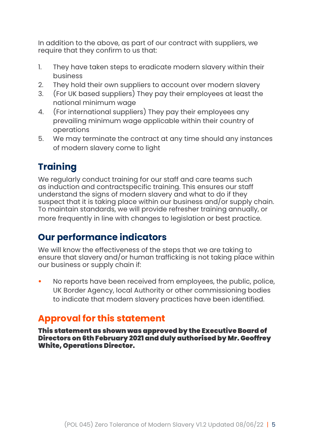In addition to the above, as part of our contract with suppliers, we require that they confirm to us that:

- 1. They have taken steps to eradicate modern slavery within their business
- 2. They hold their own suppliers to account over modern slavery<br>3. For UK based suppliers) They pay their employees at least the
- 3. (For UK based suppliers) They pay their employees at least the national minimum wage
- 4. (For international suppliers) They pay their employees any prevailing minimum wage applicable within their country of operations
- 5. We may terminate the contract at any time should any instances of modern slavery come to light

# **Training**

We regularly conduct training for our staff and care teams such as induction and contractspecific training. This ensures our staff understand the signs of modern slavery and what to do if they suspect that it is taking place within our business and/or supply chain. To maintain standards, we will provide refresher training annually, or more frequently in line with changes to legislation or best practice.

## **Our performance indicators**

We will know the effectiveness of the steps that we are taking to ensure that slavery and/or human trafficking is not taking place within our business or supply chain if:

• No reports have been received from employees, the public, police, UK Border Agency, local Authority or other commissioning bodies to indicate that modern slavery practices have been identified.

## **Approval for this statement**

This statement as shown was approved by the Executive Board of Directors on 6th February 2021 and duly authorised by Mr. Geoffrey White, Operations Director.